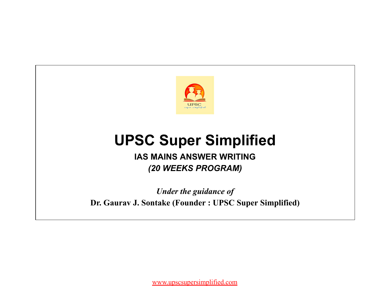

# **UPSC Super Simplified**

# **IAS MAINS ANSWER WRITING** *(20 WEEKS PROGRAM)*

*Under the guidance of* **Dr. Gaurav J. Sontake (Founder : UPSC Super Simplified)**

[www.upscsupersimplified.com](http://www.upscsupersimplified.com/)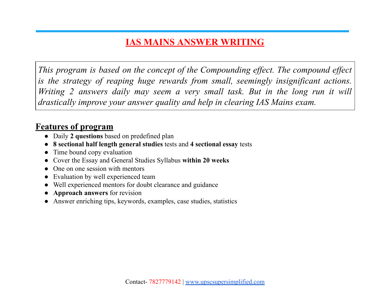# **IAS MAINS ANSWER WRITING**

*This program is based on the concept of the Compounding effect. The compound effect is the strategy of reaping huge rewards from small, seemingly insignificant actions. Writing 2 answers daily may seem a very small task. But in the long run it will drastically improve your answer quality and help in clearing IAS Mains exam.*

## **Features of program**

- Daily **2 questions** based on predefined plan
- **8 sectional half length general studies** tests and **4 sectional essay** tests
- Time bound copy evaluation
- Cover the Essay and General Studies Syllabus **within 20 weeks**
- One on one session with mentors
- Evaluation by well experienced team
- Well experienced mentors for doubt clearance and guidance
- **Approach answers** for revision
- Answer enriching tips, keywords, examples, case studies, statistics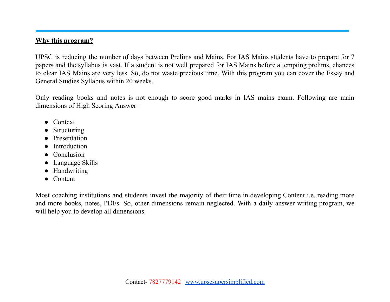### **Why this program?**

UPSC is reducing the number of days between Prelims and Mains. For IAS Mains students have to prepare for 7 papers and the syllabus is vast. If a student is not well prepared for IAS Mains before attempting prelims, chances to clear IAS Mains are very less. So, do not waste precious time. With this program you can cover the Essay and General Studies Syllabus within 20 weeks.

Only reading books and notes is not enough to score good marks in IAS mains exam. Following are main dimensions of High Scoring Answer–

- Context
- **Structuring**
- Presentation
- **Introduction**
- Conclusion
- Language Skills
- Handwriting
- Content

Most coaching institutions and students invest the majority of their time in developing Content i.e. reading more and more books, notes, PDFs. So, other dimensions remain neglected. With a daily answer writing program, we will help you to develop all dimensions.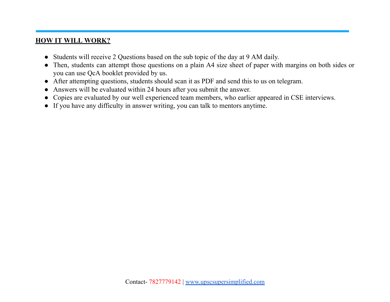### **HOW IT WILL WORK?**

- Students will receive 2 Questions based on the sub topic of the day at 9 AM daily.
- Then, students can attempt those questions on a plain A4 size sheet of paper with margins on both sides or you can use QcA booklet provided by us.
- After attempting questions, students should scan it as PDF and send this to us on telegram.
- Answers will be evaluated within 24 hours after you submit the answer.
- Copies are evaluated by our well experienced team members, who earlier appeared in CSE interviews.
- If you have any difficulty in answer writing, you can talk to mentors anytime.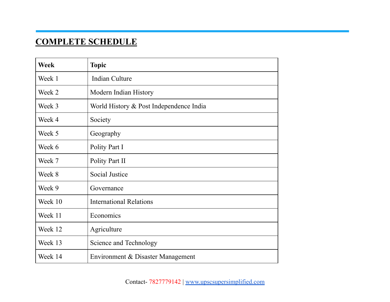# **COMPLETE SCHEDULE**

| <b>Week</b> | <b>Topic</b>                            |
|-------------|-----------------------------------------|
| Week 1      | Indian Culture                          |
| Week 2      | Modern Indian History                   |
| Week 3      | World History & Post Independence India |
| Week 4      | Society                                 |
| Week 5      | Geography                               |
| Week 6      | Polity Part I                           |
| Week 7      | Polity Part II                          |
| Week 8      | Social Justice                          |
| Week 9      | Governance                              |
| Week 10     | <b>International Relations</b>          |
| Week 11     | Economics                               |
| Week 12     | Agriculture                             |
| Week 13     | Science and Technology                  |
| Week 14     | Environment & Disaster Management       |